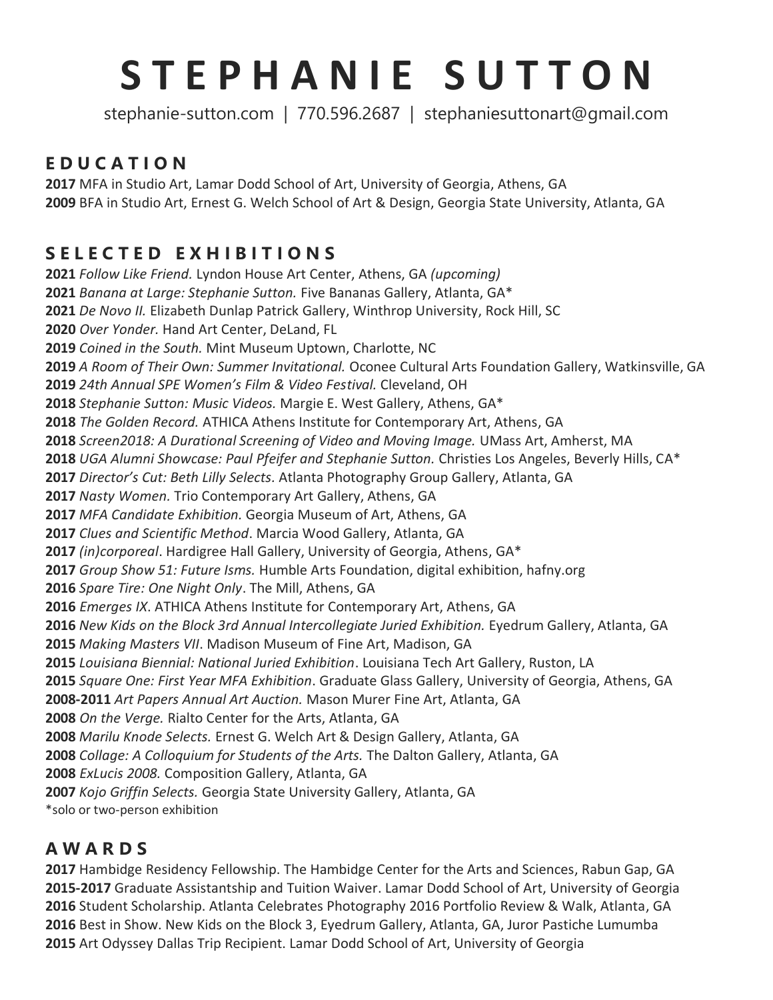# **S T E P H A N I E S U T T O N**

stephanie-sutton.com | 770.596.2687 | stephaniesuttonart@gmail.com

#### **E D U C A T I O N**

MFA in Studio Art, Lamar Dodd School of Art, University of Georgia, Athens, GA BFA in Studio Art, Ernest G. Welch School of Art & Design, Georgia State University, Atlanta, GA

## **S E L E C T E D E X H I B I T I O N S**

 *Follow Like Friend.* Lyndon House Art Center, Athens, GA *(upcoming) Banana at Large: Stephanie Sutton.* Five Bananas Gallery, Atlanta, GA\* *De Novo II.* Elizabeth Dunlap Patrick Gallery, Winthrop University, Rock Hill, SC *Over Yonder.* Hand Art Center, DeLand, FL *Coined in the South.* Mint Museum Uptown, Charlotte, NC *A Room of Their Own: Summer Invitational.* Oconee Cultural Arts Foundation Gallery, Watkinsville, GA *24th Annual SPE Women's Film & Video Festival.* Cleveland, OH *Stephanie Sutton: Music Videos.* Margie E. West Gallery, Athens, GA\* *The Golden Record.* ATHICA Athens Institute for Contemporary Art, Athens, GA *Screen2018: A Durational Screening of Video and Moving Image.* UMass Art, Amherst, MA *UGA Alumni Showcase: Paul Pfeifer and Stephanie Sutton.* Christies Los Angeles, Beverly Hills, CA\* *Director's Cut: Beth Lilly Selects.* Atlanta Photography Group Gallery, Atlanta, GA *Nasty Women.* Trio Contemporary Art Gallery, Athens, GA *MFA Candidate Exhibition.* Georgia Museum of Art, Athens, GA *Clues and Scientific Method*. Marcia Wood Gallery, Atlanta, GA *(in)corporeal*. Hardigree Hall Gallery, University of Georgia, Athens, GA\* *Group Show 51: Future Isms.* Humble Arts Foundation, digital exhibition, hafny.org *Spare Tire: One Night Only*. The Mill, Athens, GA *Emerges IX*. ATHICA Athens Institute for Contemporary Art, Athens, GA *New Kids on the Block 3rd Annual Intercollegiate Juried Exhibition.* Eyedrum Gallery, Atlanta, GA *Making Masters VII*. Madison Museum of Fine Art, Madison, GA *Louisiana Biennial: National Juried Exhibition*. Louisiana Tech Art Gallery, Ruston, LA *Square One: First Year MFA Exhibition*. Graduate Glass Gallery, University of Georgia, Athens, GA **2008-2011** *Art Papers Annual Art Auction.* Mason Murer Fine Art, Atlanta, GA *On the Verge.* Rialto Center for the Arts, Atlanta, GA *Marilu Knode Selects.* Ernest G. Welch Art & Design Gallery, Atlanta, GA *Collage: A Colloquium for Students of the Arts.* The Dalton Gallery, Atlanta, GA *ExLucis 2008.* Composition Gallery, Atlanta, GA *Kojo Griffin Selects.* Georgia State University Gallery, Atlanta, GA \*solo or two-person exhibition

# **A W A R D S**

 Hambidge Residency Fellowship. The Hambidge Center for the Arts and Sciences, Rabun Gap, GA **2015-2017** Graduate Assistantship and Tuition Waiver. Lamar Dodd School of Art, University of Georgia Student Scholarship. Atlanta Celebrates Photography 2016 Portfolio Review & Walk, Atlanta, GA Best in Show. New Kids on the Block 3, Eyedrum Gallery, Atlanta, GA, Juror Pastiche Lumumba Art Odyssey Dallas Trip Recipient. Lamar Dodd School of Art, University of Georgia